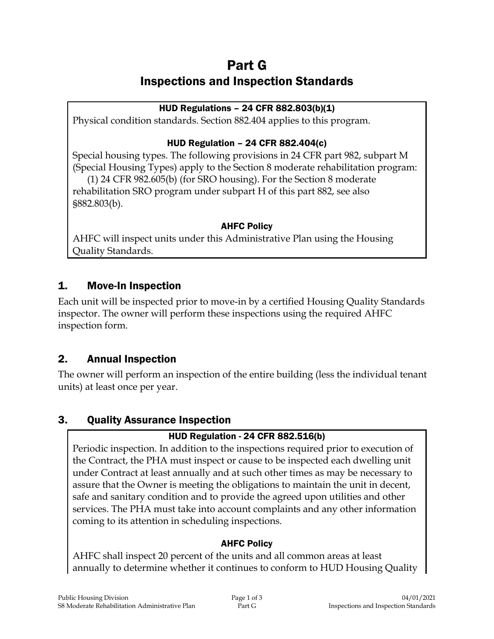# Part G Inspections and Inspection Standards

### HUD Regulations – 24 CFR 882.803(b)(1)

Physical condition standards. Section 882.404 applies to this program.

### HUD Regulation – 24 CFR 882.404(c)

Special housing types. The following provisions in 24 CFR part 982, subpart M (Special Housing Types) apply to the Section 8 moderate rehabilitation program:

(1) 24 CFR 982.605(b) (for SRO housing). For the Section 8 moderate rehabilitation SRO program under subpart H of this part 882, see also §882.803(b).

### AHFC Policy

AHFC will inspect units under this Administrative Plan using the Housing Quality Standards.

## 1. Move-In Inspection

Each unit will be inspected prior to move-in by a certified Housing Quality Standards inspector. The owner will perform these inspections using the required AHFC inspection form.

## 2. Annual Inspection

The owner will perform an inspection of the entire building (less the individual tenant units) at least once per year.

## 3. Quality Assurance Inspection

### HUD Regulation - 24 CFR 882.516(b)

Periodic inspection. In addition to the inspections required prior to execution of the Contract, the PHA must inspect or cause to be inspected each dwelling unit under Contract at least annually and at such other times as may be necessary to assure that the Owner is meeting the obligations to maintain the unit in decent, safe and sanitary condition and to provide the agreed upon utilities and other services. The PHA must take into account complaints and any other information coming to its attention in scheduling inspections.

#### AHFC Policy

AHFC shall inspect 20 percent of the units and all common areas at least annually to determine whether it continues to conform to HUD Housing Quality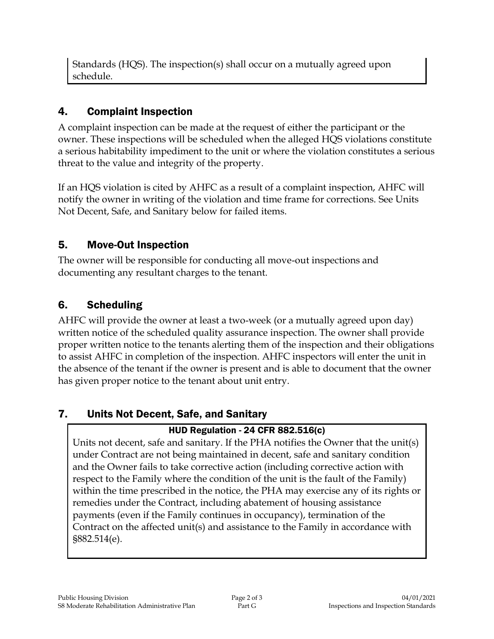Standards (HQS). The inspection(s) shall occur on a mutually agreed upon schedule.

## 4. Complaint Inspection

A complaint inspection can be made at the request of either the participant or the owner. These inspections will be scheduled when the alleged HQS violations constitute a serious habitability impediment to the unit or where the violation constitutes a serious threat to the value and integrity of the property.

If an HQS violation is cited by AHFC as a result of a complaint inspection, AHFC will notify the owner in writing of the violation and time frame for corrections. See Units Not Decent, Safe, and Sanitary below for failed items.

## 5. Move-Out Inspection

The owner will be responsible for conducting all move-out inspections and documenting any resultant charges to the tenant.

## 6. Scheduling

AHFC will provide the owner at least a two-week (or a mutually agreed upon day) written notice of the scheduled quality assurance inspection. The owner shall provide proper written notice to the tenants alerting them of the inspection and their obligations to assist AHFC in completion of the inspection. AHFC inspectors will enter the unit in the absence of the tenant if the owner is present and is able to document that the owner has given proper notice to the tenant about unit entry.

## 7. Units Not Decent, Safe, and Sanitary

## HUD Regulation - 24 CFR 882.516(c)

Units not decent, safe and sanitary. If the PHA notifies the Owner that the unit(s) under Contract are not being maintained in decent, safe and sanitary condition and the Owner fails to take corrective action (including corrective action with respect to the Family where the condition of the unit is the fault of the Family) within the time prescribed in the notice, the PHA may exercise any of its rights or remedies under the Contract, including abatement of housing assistance payments (even if the Family continues in occupancy), termination of the Contract on the affected unit(s) and assistance to the Family in accordance with §882.514(e).